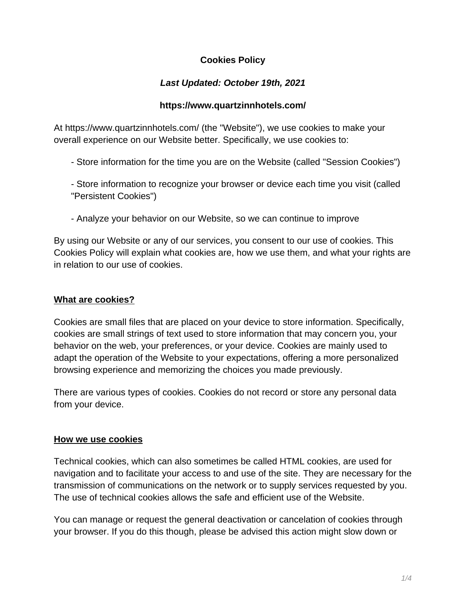# **Cookies Policy**

# **Last Updated: October 19th, 2021**

## **https://www.quartzinnhotels.com/**

At https://www.quartzinnhotels.com/ (the "Website"), we use cookies to make your overall experience on our Website better. Specifically, we use cookies to:

- Store information for the time you are on the Website (called "Session Cookies")
- Store information to recognize your browser or device each time you visit (called "Persistent Cookies")
- Analyze your behavior on our Website, so we can continue to improve

By using our Website or any of our services, you consent to our use of cookies. This Cookies Policy will explain what cookies are, how we use them, and what your rights are in relation to our use of cookies.

## **What are cookies?**

Cookies are small files that are placed on your device to store information. Specifically, cookies are small strings of text used to store information that may concern you, your behavior on the web, your preferences, or your device. Cookies are mainly used to adapt the operation of the Website to your expectations, offering a more personalized browsing experience and memorizing the choices you made previously.

There are various types of cookies. Cookies do not record or store any personal data from your device.

## **How we use cookies**

Technical cookies, which can also sometimes be called HTML cookies, are used for navigation and to facilitate your access to and use of the site. They are necessary for the transmission of communications on the network or to supply services requested by you. The use of technical cookies allows the safe and efficient use of the Website.

You can manage or request the general deactivation or cancelation of cookies through your browser. If you do this though, please be advised this action might slow down or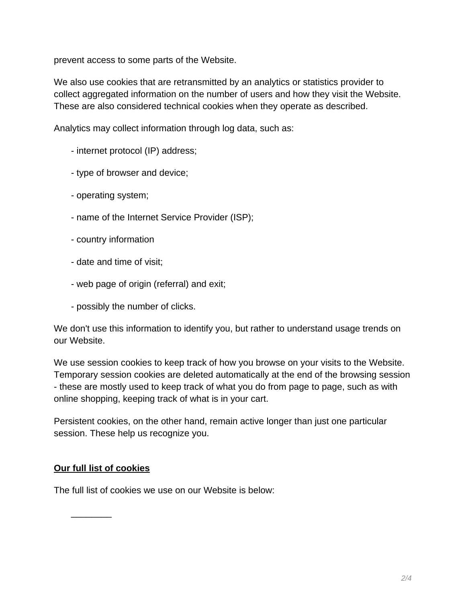prevent access to some parts of the Website.

We also use cookies that are retransmitted by an analytics or statistics provider to collect aggregated information on the number of users and how they visit the Website. These are also considered technical cookies when they operate as described.

Analytics may collect information through log data, such as:

- internet protocol (IP) address;
- type of browser and device;
- operating system;
- name of the Internet Service Provider (ISP);
- country information
- date and time of visit;
- web page of origin (referral) and exit;
- possibly the number of clicks.

We don't use this information to identify you, but rather to understand usage trends on our Website.

We use session cookies to keep track of how you browse on your visits to the Website. Temporary session cookies are deleted automatically at the end of the browsing session - these are mostly used to keep track of what you do from page to page, such as with online shopping, keeping track of what is in your cart.

Persistent cookies, on the other hand, remain active longer than just one particular session. These help us recognize you.

### **Our full list of cookies**

The full list of cookies we use on our Website is below:

\_\_\_\_\_\_\_\_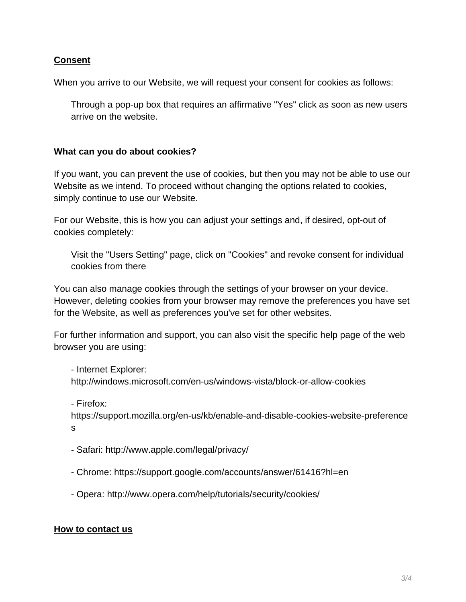## **Consent**

When you arrive to our Website, we will request your consent for cookies as follows:

Through a pop-up box that requires an affirmative "Yes" click as soon as new users arrive on the website.

## **What can you do about cookies?**

If you want, you can prevent the use of cookies, but then you may not be able to use our Website as we intend. To proceed without changing the options related to cookies, simply continue to use our Website.

For our Website, this is how you can adjust your settings and, if desired, opt-out of cookies completely:

Visit the "Users Setting" page, click on "Cookies" and revoke consent for individual cookies from there

You can also manage cookies through the settings of your browser on your device. However, deleting cookies from your browser may remove the preferences you have set for the Website, as well as preferences you've set for other websites.

For further information and support, you can also visit the specific help page of the web browser you are using:

- Internet Explorer: http://windows.microsoft.com/en-us/windows-vista/block-or-allow-cookies

- Firefox:

https://support.mozilla.org/en-us/kb/enable-and-disable-cookies-website-preference s

- Safari: http://www.apple.com/legal/privacy/
- Chrome: https://support.google.com/accounts/answer/61416?hl=en
- Opera: http://www.opera.com/help/tutorials/security/cookies/

### **How to contact us**